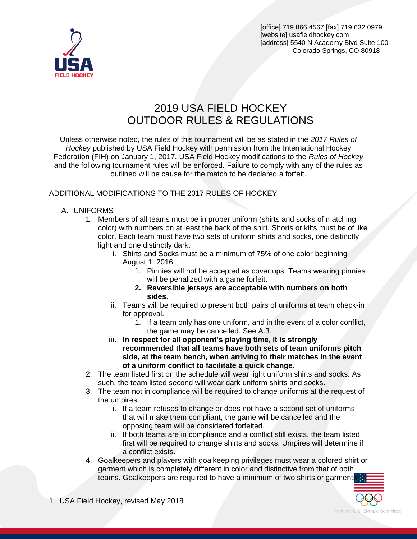



# 2019 USA FIELD HOCKEY OUTDOOR RULES & REGULATIONS

Unless otherwise noted, the rules of this tournament will be as stated in the *2017 Rules of Hockey* published by USA Field Hockey with permission from the International Hockey Federation (FIH) on January 1, 2017. USA Field Hockey modifications to the *Rules of Hockey* and the following tournament rules will be enforced. Failure to comply with any of the rules as outlined will be cause for the match to be declared a forfeit.

#### ADDITIONAL MODIFICATIONS TO THE 2017 RULES OF HOCKEY

#### A. UNIFORMS

- 1. Members of all teams must be in proper uniform (shirts and socks of matching color) with numbers on at least the back of the shirt. Shorts or kilts must be of like color. Each team must have two sets of uniform shirts and socks, one distinctly light and one distinctly dark.
	- i. Shirts and Socks must be a minimum of 75% of one color beginning August 1, 2016.
		- 1. Pinnies will not be accepted as cover ups. Teams wearing pinnies will be penalized with a game forfeit.
		- **2. Reversible jerseys are acceptable with numbers on both sides.**
	- ii. Teams will be required to present both pairs of uniforms at team check-in for approval.
		- 1. If a team only has one uniform, and in the event of a color conflict, the game may be cancelled. See A.3.
	- **iii. In respect for all opponent's playing time, it is strongly recommended that all teams have both sets of team uniforms pitch side, at the team bench, when arriving to their matches in the event of a uniform conflict to facilitate a quick change.**
- 2. The team listed first on the schedule will wear light uniform shirts and socks. As such, the team listed second will wear dark uniform shirts and socks.
- 3. The team not in compliance will be required to change uniforms at the request of the umpires.
	- i. If a team refuses to change or does not have a second set of uniforms that will make them compliant, the game will be cancelled and the opposing team will be considered forfeited.
	- ii. If both teams are in compliance and a conflict still exists, the team listed first will be required to change shirts and socks. Umpires will determine if a conflict exists.
- 4. Goalkeepers and players with goalkeeping privileges must wear a colored shirt or garment which is completely different in color and distinctive from that of both teams. Goalkeepers are required to have a minimum of two shirts or garments

1 USA Field Hockey, revised May 2018

Member, U.S. Olympic Committee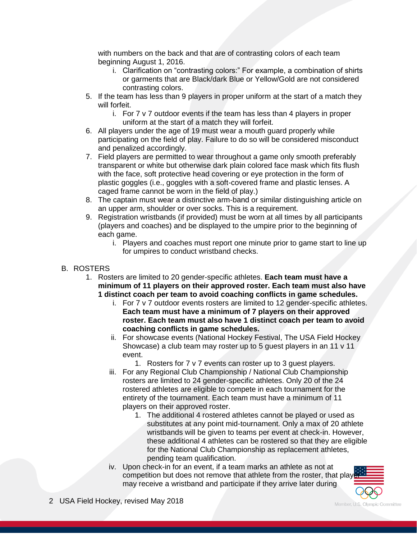with numbers on the back and that are of contrasting colors of each team beginning August 1, 2016.

- i. Clarification on "contrasting colors:" For example, a combination of shirts or garments that are Black/dark Blue or Yellow/Gold are not considered contrasting colors.
- 5. If the team has less than 9 players in proper uniform at the start of a match they will forfeit.
	- i. For 7 v 7 outdoor events if the team has less than 4 players in proper uniform at the start of a match they will forfeit.
- 6. All players under the age of 19 must wear a mouth guard properly while participating on the field of play. Failure to do so will be considered misconduct and penalized accordingly.
- 7. Field players are permitted to wear throughout a game only smooth preferably transparent or white but otherwise dark plain colored face mask which fits flush with the face, soft protective head covering or eye protection in the form of plastic goggles (i.e., goggles with a soft-covered frame and plastic lenses. A caged frame cannot be worn in the field of play.)
- 8. The captain must wear a distinctive arm-band or similar distinguishing article on an upper arm, shoulder or over socks. This is a requirement.
- 9. Registration wristbands (if provided) must be worn at all times by all participants (players and coaches) and be displayed to the umpire prior to the beginning of each game.
	- i. Players and coaches must report one minute prior to game start to line up for umpires to conduct wristband checks.
- B. ROSTERS
	- 1. Rosters are limited to 20 gender-specific athletes. **Each team must have a minimum of 11 players on their approved roster. Each team must also have 1 distinct coach per team to avoid coaching conflicts in game schedules.**
		- i. For 7 v 7 outdoor events rosters are limited to 12 gender-specific athletes. **Each team must have a minimum of 7 players on their approved roster. Each team must also have 1 distinct coach per team to avoid coaching conflicts in game schedules.**
		- ii. For showcase events (National Hockey Festival, The USA Field Hockey Showcase) a club team may roster up to 5 guest players in an 11 v 11 event.
			- 1. Rosters for 7 v 7 events can roster up to 3 guest players.
		- iii. For any Regional Club Championship / National Club Championship rosters are limited to 24 gender-specific athletes. Only 20 of the 24 rostered athletes are eligible to compete in each tournament for the entirety of the tournament. Each team must have a minimum of 11 players on their approved roster.
			- 1. The additional 4 rostered athletes cannot be played or used as substitutes at any point mid-tournament. Only a max of 20 athlete wristbands will be given to teams per event at check-in. However, these additional 4 athletes can be rostered so that they are eligible for the National Club Championship as replacement athletes, pending team qualification.
		- iv. Upon check-in for an event, if a team marks an athlete as not at competition but does not remove that athlete from the roster, that play may receive a wristband and participate if they arrive later during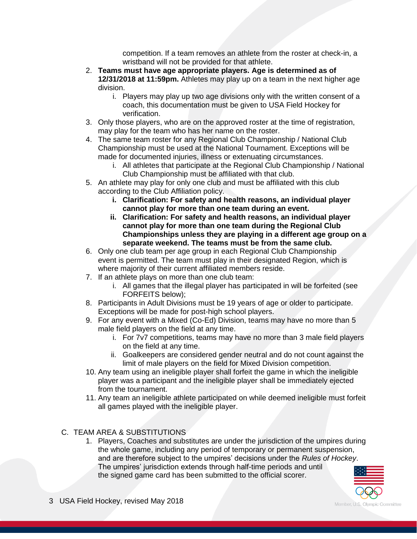competition. If a team removes an athlete from the roster at check-in, a wristband will not be provided for that athlete.

- 2. **Teams must have age appropriate players. Age is determined as of 12/31/2018 at 11:59pm.** Athletes may play up on a team in the next higher age division.
	- i. Players may play up two age divisions only with the written consent of a coach, this documentation must be given to USA Field Hockey for verification.
- 3. Only those players, who are on the approved roster at the time of registration, may play for the team who has her name on the roster.
- 4. The same team roster for any Regional Club Championship / National Club Championship must be used at the National Tournament. Exceptions will be made for documented injuries, illness or extenuating circumstances.
	- i. All athletes that participate at the Regional Club Championship / National Club Championship must be affiliated with that club.
- 5. An athlete may play for only one club and must be affiliated with this club according to the Club Affiliation policy.
	- **i. Clarification: For safety and health reasons, an individual player cannot play for more than one team during an event.**
	- **ii. Clarification: For safety and health reasons, an individual player cannot play for more than one team during the Regional Club Championships unless they are playing in a different age group on a separate weekend. The teams must be from the same club.**
- 6. Only one club team per age group in each Regional Club Championship event is permitted. The team must play in their designated Region, which is where majority of their current affiliated members reside.
- 7. If an athlete plays on more than one club team:
	- i. All games that the illegal player has participated in will be forfeited (see FORFEITS below);
- 8. Participants in Adult Divisions must be 19 years of age or older to participate. Exceptions will be made for post-high school players.
- 9. For any event with a Mixed (Co-Ed) Division, teams may have no more than 5 male field players on the field at any time.
	- i. For 7v7 competitions, teams may have no more than 3 male field players on the field at any time.
	- ii. Goalkeepers are considered gender neutral and do not count against the limit of male players on the field for Mixed Division competition.
- 10. Any team using an ineligible player shall forfeit the game in which the ineligible player was a participant and the ineligible player shall be immediately ejected from the tournament.
- 11. Any team an ineligible athlete participated on while deemed ineligible must forfeit all games played with the ineligible player.

# C. TEAM AREA & SUBSTITUTIONS

1. Players, Coaches and substitutes are under the jurisdiction of the umpires during the whole game, including any period of temporary or permanent suspension, and are therefore subject to the umpires' decisions under the *Rules of Hockey*. The umpires' jurisdiction extends through half-time periods and until the signed game card has been submitted to the official scorer.

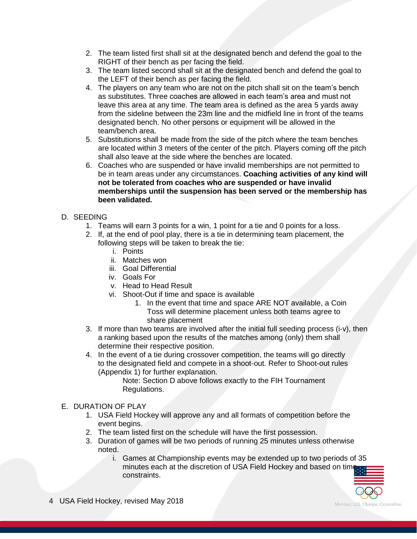- 2. The team listed first shall sit at the designated bench and defend the goal to the RIGHT of their bench as per facing the field.
- 3. The team listed second shall sit at the designated bench and defend the goal to the LEFT of their bench as per facing the field.
- 4. The players on any team who are not on the pitch shall sit on the team's bench as substitutes. Three coaches are allowed in each team's area and must not leave this area at any time. The team area is defined as the area 5 yards away from the sideline between the 23m line and the midfield line in front of the teams designated bench. No other persons or equipment will be allowed in the team/bench area.
- 5. Substitutions shall be made from the side of the pitch where the team benches are located within 3 meters of the center of the pitch. Players coming off the pitch shall also leave at the side where the benches are located.
- 6. Coaches who are suspended or have invalid memberships are not permitted to be in team areas under any circumstances. **Coaching activities of any kind will not be tolerated from coaches who are suspended or have invalid memberships until the suspension has been served or the membership has been validated.**
- D. SEEDING
	- 1. Teams will earn 3 points for a win, 1 point for a tie and 0 points for a loss.
	- 2. If, at the end of pool play, there is a tie in determining team placement, the following steps will be taken to break the tie:
		- i. Points
		- ii. Matches won
		- iii. Goal Differential
		- iv. Goals For
		- v. Head to Head Result
		- vi. Shoot-Out if time and space is available
			- 1. In the event that time and space ARE NOT available, a Coin Toss will determine placement unless both teams agree to share placement
	- 3. If more than two teams are involved after the initial full seeding process (i-v), then a ranking based upon the results of the matches among (only) them shall determine their respective position.
	- 4. In the event of a tie during crossover competition, the teams will go directly to the designated field and compete in a shoot-out. Refer to Shoot-out rules (Appendix 1) for further explanation.

Note: Section D above follows exactly to the FIH Tournament Regulations.

- E. DURATION OF PLAY
	- 1. USA Field Hockey will approve any and all formats of competition before the event begins.
	- 2. The team listed first on the schedule will have the first possession.
	- 3. Duration of games will be two periods of running 25 minutes unless otherwise noted.
		- i. Games at Championship events may be extended up to two periods of 35 minutes each at the discretion of USA Field Hockey and based on time constraints.

Member, U.S. Olympic Committee

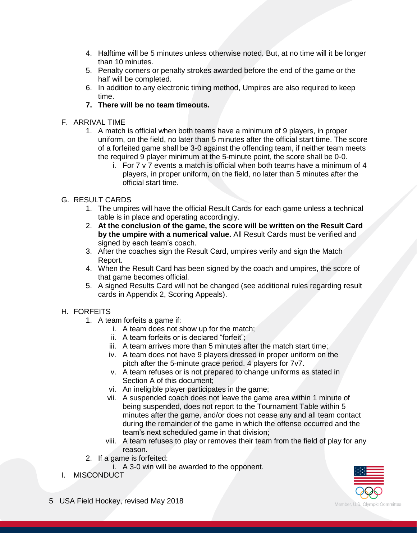- 4. Halftime will be 5 minutes unless otherwise noted. But, at no time will it be longer than 10 minutes.
- 5. Penalty corners or penalty strokes awarded before the end of the game or the half will be completed.
- 6. In addition to any electronic timing method, Umpires are also required to keep time.
- **7. There will be no team timeouts.**
- F. ARRIVAL TIME
	- 1. A match is official when both teams have a minimum of 9 players, in proper uniform, on the field, no later than 5 minutes after the official start time. The score of a forfeited game shall be 3-0 against the offending team, if neither team meets the required 9 player minimum at the 5-minute point, the score shall be 0-0.
		- i. For 7 v 7 events a match is official when both teams have a minimum of 4 players, in proper uniform, on the field, no later than 5 minutes after the official start time.
- G. RESULT CARDS
	- 1. The umpires will have the official Result Cards for each game unless a technical table is in place and operating accordingly.
	- 2. **At the conclusion of the game, the score will be written on the Result Card by the umpire with a numerical value.** All Result Cards must be verified and signed by each team's coach.
	- 3. After the coaches sign the Result Card, umpires verify and sign the Match Report.
	- 4. When the Result Card has been signed by the coach and umpires, the score of that game becomes official.
	- 5. A signed Results Card will not be changed (see additional rules regarding result cards in Appendix 2, Scoring Appeals).

# H. FORFEITS

- 1. A team forfeits a game if:
	- i. A team does not show up for the match;
	- ii. A team forfeits or is declared "forfeit";
	- iii. A team arrives more than 5 minutes after the match start time;
	- iv. A team does not have 9 players dressed in proper uniform on the pitch after the 5-minute grace period. 4 players for 7v7.
	- v. A team refuses or is not prepared to change uniforms as stated in Section A of this document;
	- vi. An ineligible player participates in the game;
	- vii. A suspended coach does not leave the game area within 1 minute of being suspended, does not report to the Tournament Table within 5 minutes after the game, and/or does not cease any and all team contact during the remainder of the game in which the offense occurred and the team's next scheduled game in that division;
	- viii. A team refuses to play or removes their team from the field of play for any reason.
- 2. If a game is forfeited:
	- i. A 3-0 win will be awarded to the opponent.
- I. MISCONDUCT

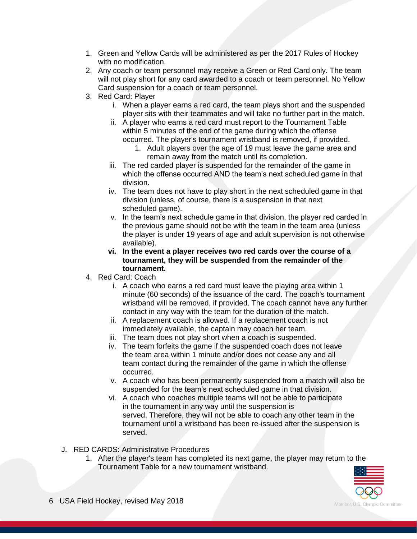- 1. Green and Yellow Cards will be administered as per the 2017 Rules of Hockey with no modification.
- 2. Any coach or team personnel may receive a Green or Red Card only. The team will not play short for any card awarded to a coach or team personnel. No Yellow Card suspension for a coach or team personnel.
- 3. Red Card: Player
	- i. When a player earns a red card, the team plays short and the suspended player sits with their teammates and will take no further part in the match.
	- ii. A player who earns a red card must report to the Tournament Table within 5 minutes of the end of the game during which the offense occurred. The player's tournament wristband is removed, if provided.
		- 1. Adult players over the age of 19 must leave the game area and remain away from the match until its completion.
	- iii. The red carded player is suspended for the remainder of the game in which the offense occurred AND the team's next scheduled game in that division.
	- iv. The team does not have to play short in the next scheduled game in that division (unless, of course, there is a suspension in that next scheduled game).
	- v. In the team's next schedule game in that division, the player red carded in the previous game should not be with the team in the team area (unless the player is under 19 years of age and adult supervision is not otherwise available).
	- **vi. In the event a player receives two red cards over the course of a tournament, they will be suspended from the remainder of the tournament.**
- 4. Red Card: Coach
	- i. A coach who earns a red card must leave the playing area within 1 minute (60 seconds) of the issuance of the card. The coach's tournament wristband will be removed, if provided. The coach cannot have any further contact in any way with the team for the duration of the match.
	- ii. A replacement coach is allowed. If a replacement coach is not immediately available, the captain may coach her team.
	- iii. The team does not play short when a coach is suspended.
	- iv. The team forfeits the game if the suspended coach does not leave the team area within 1 minute and/or does not cease any and all team contact during the remainder of the game in which the offense occurred.
	- v. A coach who has been permanently suspended from a match will also be suspended for the team's next scheduled game in that division.
	- vi. A coach who coaches multiple teams will not be able to participate in the tournament in any way until the suspension is served. Therefore, they will not be able to coach any other team in the tournament until a wristband has been re-issued after the suspension is served.
- J. RED CARDS: Administrative Procedures
	- 1. After the player's team has completed its next game, the player may return to the Tournament Table for a new tournament wristband.

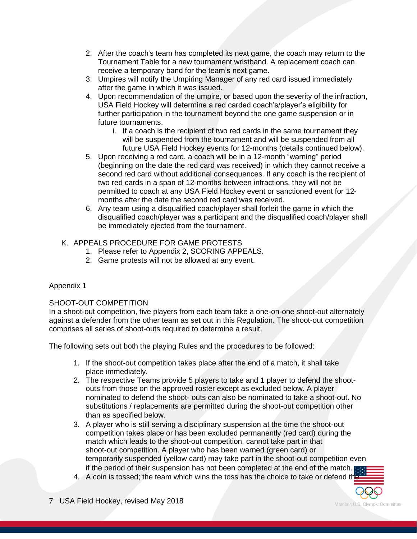- 2. After the coach's team has completed its next game, the coach may return to the Tournament Table for a new tournament wristband. A replacement coach can receive a temporary band for the team's next game.
- 3. Umpires will notify the Umpiring Manager of any red card issued immediately after the game in which it was issued.
- 4. Upon recommendation of the umpire, or based upon the severity of the infraction, USA Field Hockey will determine a red carded coach's/player's eligibility for further participation in the tournament beyond the one game suspension or in future tournaments.
	- i. If a coach is the recipient of two red cards in the same tournament they will be suspended from the tournament and will be suspended from all future USA Field Hockey events for 12-months (details continued below).
- 5. Upon receiving a red card, a coach will be in a 12-month "warning" period (beginning on the date the red card was received) in which they cannot receive a second red card without additional consequences. If any coach is the recipient of two red cards in a span of 12-months between infractions, they will not be permitted to coach at any USA Field Hockey event or sanctioned event for 12 months after the date the second red card was received.
- 6. Any team using a disqualified coach/player shall forfeit the game in which the disqualified coach/player was a participant and the disqualified coach/player shall be immediately ejected from the tournament.

# K. APPEALS PROCEDURE FOR GAME PROTESTS

- 1. Please refer to Appendix 2, SCORING APPEALS.
- 2. Game protests will not be allowed at any event.

# Appendix 1

# SHOOT-OUT COMPETITION

In a shoot-out competition, five players from each team take a one-on-one shoot-out alternately against a defender from the other team as set out in this Regulation. The shoot-out competition comprises all series of shoot-outs required to determine a result.

The following sets out both the playing Rules and the procedures to be followed:

- 1. If the shoot-out competition takes place after the end of a match, it shall take place immediately.
- 2. The respective Teams provide 5 players to take and 1 player to defend the shootouts from those on the approved roster except as excluded below. A player nominated to defend the shoot- outs can also be nominated to take a shoot-out. No substitutions / replacements are permitted during the shoot-out competition other than as specified below.
- 3. A player who is still serving a disciplinary suspension at the time the shoot-out competition takes place or has been excluded permanently (red card) during the match which leads to the shoot-out competition, cannot take part in that shoot-out competition. A player who has been warned (green card) or temporarily suspended (yellow card) may take part in the shoot-out competition even if the period of their suspension has not been completed at the end of the match.
- 4. A coin is tossed; the team which wins the toss has the choice to take or defend the
- 7 USA Field Hockey, revised May 2018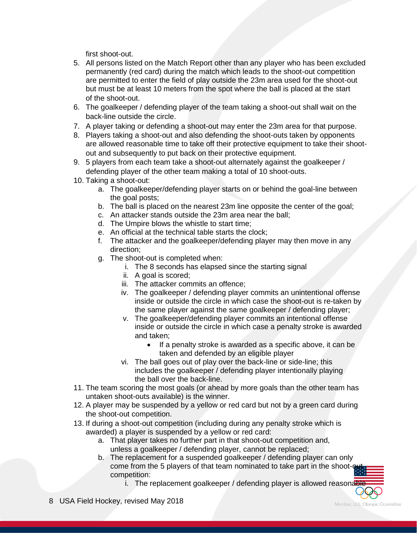first shoot-out.

- 5. All persons listed on the Match Report other than any player who has been excluded permanently (red card) during the match which leads to the shoot-out competition are permitted to enter the field of play outside the 23m area used for the shoot-out but must be at least 10 meters from the spot where the ball is placed at the start of the shoot-out.
- 6. The goalkeeper / defending player of the team taking a shoot-out shall wait on the back-line outside the circle.
- 7. A player taking or defending a shoot-out may enter the 23m area for that purpose.
- 8. Players taking a shoot-out and also defending the shoot-outs taken by opponents are allowed reasonable time to take off their protective equipment to take their shootout and subsequently to put back on their protective equipment.
- 9. 5 players from each team take a shoot-out alternately against the goalkeeper / defending player of the other team making a total of 10 shoot-outs.
- 10. Taking a shoot-out:
	- a. The goalkeeper/defending player starts on or behind the goal-line between the goal posts;
	- b. The ball is placed on the nearest 23m line opposite the center of the goal;
	- c. An attacker stands outside the 23m area near the ball;
	- d. The Umpire blows the whistle to start time;
	- e. An official at the technical table starts the clock;
	- f. The attacker and the goalkeeper/defending player may then move in any direction;
	- g. The shoot-out is completed when:
		- i. The 8 seconds has elapsed since the starting signal
		- ii. A goal is scored;
		- iii. The attacker commits an offence;
		- iv. The goalkeeper / defending player commits an unintentional offense inside or outside the circle in which case the shoot-out is re-taken by the same player against the same goalkeeper / defending player;
		- v. The goalkeeper/defending player commits an intentional offense inside or outside the circle in which case a penalty stroke is awarded and taken;
			- If a penalty stroke is awarded as a specific above, it can be taken and defended by an eligible player
		- vi. The ball goes out of play over the back-line or side-line; this includes the goalkeeper / defending player intentionally playing the ball over the back-line.
- 11. The team scoring the most goals (or ahead by more goals than the other team has untaken shoot-outs available) is the winner.
- 12. A player may be suspended by a yellow or red card but not by a green card during the shoot-out competition.
- 13. If during a shoot-out competition (including during any penalty stroke which is awarded) a player is suspended by a yellow or red card:
	- a. That player takes no further part in that shoot-out competition and, unless a goalkeeper / defending player, cannot be replaced;
	- b. The replacement for a suspended goalkeeper / defending player can only come from the 5 players of that team nominated to take part in the shoot-out competition:
		- i. The replacement goalkeeper / defending player is allowed reasonable
- 8 USA Field Hockey, revised May 2018

Member, U.S. Olympic Committee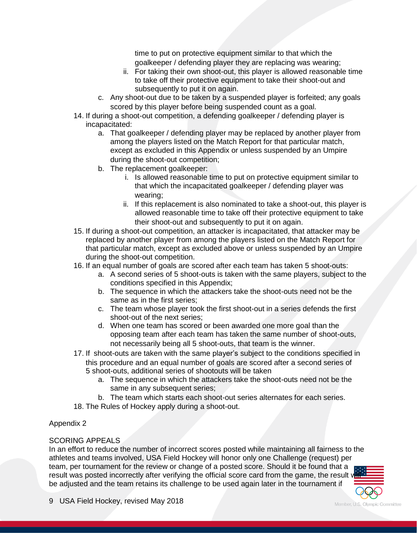time to put on protective equipment similar to that which the goalkeeper / defending player they are replacing was wearing;

- ii. For taking their own shoot-out, this player is allowed reasonable time to take off their protective equipment to take their shoot-out and subsequently to put it on again.
- c. Any shoot-out due to be taken by a suspended player is forfeited; any goals scored by this player before being suspended count as a goal.
- 14. If during a shoot-out competition, a defending goalkeeper / defending player is incapacitated:
	- a. That goalkeeper / defending player may be replaced by another player from among the players listed on the Match Report for that particular match, except as excluded in this Appendix or unless suspended by an Umpire during the shoot-out competition;
	- b. The replacement goalkeeper:
		- i. Is allowed reasonable time to put on protective equipment similar to that which the incapacitated goalkeeper / defending player was wearing;
		- ii. If this replacement is also nominated to take a shoot-out, this player is allowed reasonable time to take off their protective equipment to take their shoot-out and subsequently to put it on again.
- 15. If during a shoot-out competition, an attacker is incapacitated, that attacker may be replaced by another player from among the players listed on the Match Report for that particular match, except as excluded above or unless suspended by an Umpire during the shoot-out competition.
- 16. If an equal number of goals are scored after each team has taken 5 shoot-outs:
	- a. A second series of 5 shoot-outs is taken with the same players, subject to the conditions specified in this Appendix;
	- b. The sequence in which the attackers take the shoot-outs need not be the same as in the first series;
	- c. The team whose player took the first shoot-out in a series defends the first shoot-out of the next series;
	- d. When one team has scored or been awarded one more goal than the opposing team after each team has taken the same number of shoot-outs, not necessarily being all 5 shoot-outs, that team is the winner.
- 17. If shoot-outs are taken with the same player's subject to the conditions specified in this procedure and an equal number of goals are scored after a second series of 5 shoot-outs, additional series of shootouts will be taken
	- a. The sequence in which the attackers take the shoot-outs need not be the same in any subsequent series;
	- b. The team which starts each shoot-out series alternates for each series.
- 18. The Rules of Hockey apply during a shoot-out.

#### Appendix 2

#### SCORING APPEALS

In an effort to reduce the number of incorrect scores posted while maintaining all fairness to the athletes and teams involved, USA Field Hockey will honor only one Challenge (request) per team, per tournament for the review or change of a posted score. Should it be found that a result was posted incorrectly after verifying the official score card from the game, the result v be adjusted and the team retains its challenge to be used again later in the tournament if